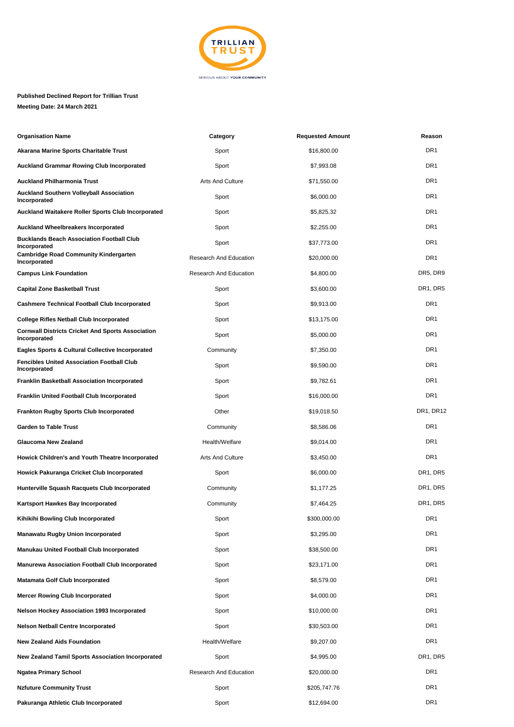

## **Published Declined Report for Trillian Trust Meeting Date: 24 March 2021**

| <b>Organisation Name</b>                                                 | Category                | <b>Requested Amount</b> | Reason                             |
|--------------------------------------------------------------------------|-------------------------|-------------------------|------------------------------------|
| Akarana Marine Sports Charitable Trust                                   | Sport                   | \$16,800.00             | DR <sub>1</sub>                    |
| <b>Auckland Grammar Rowing Club Incorporated</b>                         | Sport                   | \$7,993.08              | DR1                                |
| <b>Auckland Philharmonia Trust</b>                                       | <b>Arts And Culture</b> | \$71,550.00             | DR <sub>1</sub>                    |
| <b>Auckland Southern Volleyball Association</b><br>Incorporated          | Sport                   | \$6,000.00              | DR <sub>1</sub>                    |
| <b>Auckland Waitakere Roller Sports Club Incorporated</b>                | Sport                   | \$5,825.32              | DR <sub>1</sub>                    |
| <b>Auckland Wheelbreakers Incorporated</b>                               | Sport                   | \$2,255.00              | DR <sub>1</sub>                    |
| <b>Bucklands Beach Association Football Club</b><br>Incorporated         | Sport                   | \$37,773.00             | DR1                                |
| <b>Cambridge Road Community Kindergarten</b><br>Incorporated             | Research And Education  | \$20,000.00             | DR <sub>1</sub>                    |
| <b>Campus Link Foundation</b>                                            | Research And Education  | \$4,800.00              | DR5, DR9                           |
| <b>Capital Zone Basketball Trust</b>                                     | Sport                   | \$3,600.00              | DR1, DR5                           |
| <b>Cashmere Technical Football Club Incorporated</b>                     | Sport                   | \$9,913.00              | DR <sub>1</sub>                    |
| <b>College Rifles Netball Club Incorporated</b>                          | Sport                   | \$13,175.00             | DR <sub>1</sub>                    |
| <b>Cornwall Districts Cricket And Sports Association</b><br>Incorporated | Sport                   | \$5,000.00              | DR <sub>1</sub>                    |
| <b>Eagles Sports &amp; Cultural Collective Incorporated</b>              | Community               | \$7,350.00              | DR <sub>1</sub>                    |
| <b>Fencibles United Association Football Club</b><br>Incorporated        | Sport                   | \$9,590.00              | DR1                                |
| <b>Franklin Basketball Association Incorporated</b>                      | Sport                   | \$9,782.61              | DR <sub>1</sub>                    |
| <b>Franklin United Football Club Incorporated</b>                        | Sport                   | \$16,000.00             | DR <sub>1</sub>                    |
| <b>Frankton Rugby Sports Club Incorporated</b>                           | Other                   | \$19,018.50             | DR <sub>1</sub> , DR <sub>12</sub> |
| <b>Garden to Table Trust</b>                                             | Community               | \$8,586.06              | DR <sub>1</sub>                    |
| <b>Glaucoma New Zealand</b>                                              | Health/Welfare          | \$9,014.00              | DR <sub>1</sub>                    |
| Howick Children's and Youth Theatre Incorporated                         | Arts And Culture        | \$3,450.00              | DR <sub>1</sub>                    |
| Howick Pakuranga Cricket Club Incorporated                               | Sport                   | \$6,000.00              | DR1, DR5                           |
| Hunterville Squash Racquets Club Incorporated                            | Community               | \$1,177.25              | DR1, DR5                           |
| Kartsport Hawkes Bay Incorporated                                        | Community               | \$7,464.25              | DR1, DR5                           |
| Kihikihi Bowling Club Incorporated                                       | Sport                   | \$300,000.00            | DR1                                |
| <b>Manawatu Rugby Union Incorporated</b>                                 | Sport                   | \$3,295.00              | DR <sub>1</sub>                    |
| <b>Manukau United Football Club Incorporated</b>                         | Sport                   | \$38,500.00             | DR <sub>1</sub>                    |
| <b>Manurewa Association Football Club Incorporated</b>                   | Sport                   | \$23,171.00             | DR1                                |
| <b>Matamata Golf Club Incorporated</b>                                   | Sport                   | \$8,579.00              | DR <sub>1</sub>                    |
| <b>Mercer Rowing Club Incorporated</b>                                   | Sport                   | \$4,000.00              | DR <sub>1</sub>                    |
| <b>Nelson Hockey Association 1993 Incorporated</b>                       | Sport                   | \$10,000.00             | DR <sub>1</sub>                    |
| <b>Nelson Netball Centre Incorporated</b>                                | Sport                   | \$30,503.00             | DR <sub>1</sub>                    |
| <b>New Zealand Aids Foundation</b>                                       | Health/Welfare          | \$9,207.00              | DR1                                |
| <b>New Zealand Tamil Sports Association Incorporated</b>                 | Sport                   | \$4,995.00              | DR1, DR5                           |
| <b>Ngatea Primary School</b>                                             | Research And Education  | \$20,000.00             | DR1                                |
| <b>Nzfuture Community Trust</b>                                          | Sport                   | \$205,747.76            | DR <sub>1</sub>                    |
| Pakuranga Athletic Club Incorporated                                     | Sport                   | \$12,694.00             | DR <sub>1</sub>                    |